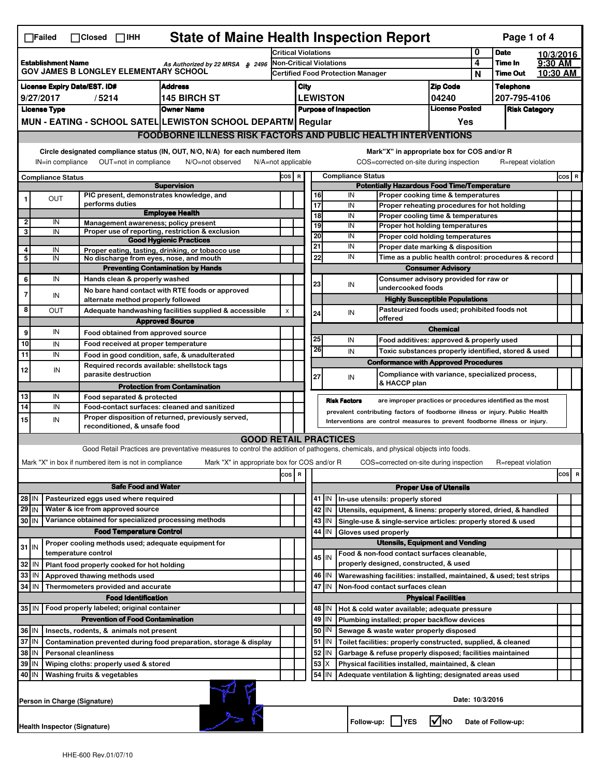|                                                                                                                                                                                                                                                                        | <b>State of Maine Health Inspection Report</b><br>Page 1 of 4<br>$\Box$ Failed<br>$\Box$ Closed $\Box$ IHH                    |                     |                                                       |                                                                                                                                   |                                                                            |  |                                                                                |          |                     |                                  |                                                                                                                                             |                               |                            |                      |           |           |
|------------------------------------------------------------------------------------------------------------------------------------------------------------------------------------------------------------------------------------------------------------------------|-------------------------------------------------------------------------------------------------------------------------------|---------------------|-------------------------------------------------------|-----------------------------------------------------------------------------------------------------------------------------------|----------------------------------------------------------------------------|--|--------------------------------------------------------------------------------|----------|---------------------|----------------------------------|---------------------------------------------------------------------------------------------------------------------------------------------|-------------------------------|----------------------------|----------------------|-----------|-----------|
|                                                                                                                                                                                                                                                                        |                                                                                                                               |                     |                                                       |                                                                                                                                   | <b>Critical Violations</b>                                                 |  |                                                                                |          |                     |                                  |                                                                                                                                             | 0                             | <b>Date</b>                |                      | 10/3/2016 |           |
| <b>Establishment Name</b><br>As Authorized by 22 MRSA § 2496<br><b>GOV JAMES B LONGLEY ELEMENTARY SCHOOL</b>                                                                                                                                                           |                                                                                                                               |                     |                                                       |                                                                                                                                   | <b>Non-Critical Violations</b><br><b>Certified Food Protection Manager</b> |  |                                                                                |          |                     |                                  |                                                                                                                                             | 4<br>N                        | Time In<br><b>Time Out</b> | 9:30 AM              | 10:30 AM  |           |
|                                                                                                                                                                                                                                                                        | <b>License Expiry Date/EST. ID#</b><br><b>Address</b>                                                                         |                     |                                                       |                                                                                                                                   |                                                                            |  |                                                                                |          |                     |                                  |                                                                                                                                             | <b>Zip Code</b>               |                            | <b>Telephone</b>     |           |           |
| 9/27/2017<br><b>145 BIRCH ST</b><br>/5214                                                                                                                                                                                                                              |                                                                                                                               |                     |                                                       |                                                                                                                                   |                                                                            |  | City<br><b>LEWISTON</b>                                                        |          |                     |                                  | 04240                                                                                                                                       |                               | 207-795-4106               |                      |           |           |
| <b>License Type</b><br><b>Owner Name</b>                                                                                                                                                                                                                               |                                                                                                                               |                     |                                                       |                                                                                                                                   |                                                                            |  |                                                                                |          |                     | <b>Purpose of Inspection</b>     |                                                                                                                                             | <b>License Posted</b>         |                            | <b>Risk Category</b> |           |           |
|                                                                                                                                                                                                                                                                        |                                                                                                                               |                     |                                                       | MUN - EATING - SCHOOL SATEL LEWISTON SCHOOL DEPARTM Regular                                                                       |                                                                            |  |                                                                                |          |                     |                                  |                                                                                                                                             | Yes                           |                            |                      |           |           |
|                                                                                                                                                                                                                                                                        | <b>FOODBORNE ILLNESS RISK FACTORS AND PUBLIC HEALTH INTERVENTIONS</b>                                                         |                     |                                                       |                                                                                                                                   |                                                                            |  |                                                                                |          |                     |                                  |                                                                                                                                             |                               |                            |                      |           |           |
|                                                                                                                                                                                                                                                                        | Circle designated compliance status (IN, OUT, N/O, N/A) for each numbered item<br>Mark"X" in appropriate box for COS and/or R |                     |                                                       |                                                                                                                                   |                                                                            |  |                                                                                |          |                     |                                  |                                                                                                                                             |                               |                            |                      |           |           |
| OUT=not in compliance<br>COS=corrected on-site during inspection<br>IN=in compliance<br>N/O=not observed<br>$N/A = not$ applicable<br>R=repeat violation                                                                                                               |                                                                                                                               |                     |                                                       |                                                                                                                                   |                                                                            |  |                                                                                |          |                     |                                  |                                                                                                                                             |                               |                            |                      |           |           |
| COS R<br><b>Compliance Status</b>                                                                                                                                                                                                                                      |                                                                                                                               |                     |                                                       |                                                                                                                                   |                                                                            |  | <b>Compliance Status</b><br><b>Potentially Hazardous Food Time/Temperature</b> |          |                     |                                  |                                                                                                                                             |                               |                            |                      | $cos$ R   |           |
|                                                                                                                                                                                                                                                                        | OUT                                                                                                                           |                     |                                                       | <b>Supervision</b><br>PIC present, demonstrates knowledge, and                                                                    |                                                                            |  |                                                                                | 16       |                     | IN                               | Proper cooking time & temperatures                                                                                                          |                               |                            |                      |           |           |
|                                                                                                                                                                                                                                                                        |                                                                                                                               |                     | performs duties                                       |                                                                                                                                   |                                                                            |  |                                                                                | 17       |                     | IN                               | Proper reheating procedures for hot holding                                                                                                 |                               |                            |                      |           |           |
| $\mathbf{2}$                                                                                                                                                                                                                                                           | IN                                                                                                                            |                     |                                                       | <b>Employee Health</b><br>Management awareness; policy present                                                                    |                                                                            |  |                                                                                | 18       |                     | IN                               | Proper cooling time & temperatures                                                                                                          |                               |                            |                      |           |           |
| 3                                                                                                                                                                                                                                                                      | IN                                                                                                                            |                     |                                                       | Proper use of reporting, restriction & exclusion                                                                                  |                                                                            |  |                                                                                | 19<br>20 |                     | IN<br>IN                         | <b>Proper hot holding temperatures</b>                                                                                                      |                               |                            |                      |           |           |
|                                                                                                                                                                                                                                                                        |                                                                                                                               |                     |                                                       | <b>Good Hygienic Practices</b>                                                                                                    |                                                                            |  |                                                                                | 21       |                     | IN                               | Proper cold holding temperatures<br>Proper date marking & disposition                                                                       |                               |                            |                      |           |           |
| 4<br>5                                                                                                                                                                                                                                                                 | IN<br>IN                                                                                                                      |                     |                                                       | Proper eating, tasting, drinking, or tobacco use<br>No discharge from eyes, nose, and mouth                                       |                                                                            |  |                                                                                | 22       |                     | IN                               | Time as a public health control: procedures & record                                                                                        |                               |                            |                      |           |           |
|                                                                                                                                                                                                                                                                        |                                                                                                                               |                     |                                                       | <b>Preventing Contamination by Hands</b>                                                                                          |                                                                            |  |                                                                                |          |                     |                                  | <b>Consumer Advisory</b>                                                                                                                    |                               |                            |                      |           |           |
| 6                                                                                                                                                                                                                                                                      | IN                                                                                                                            |                     | Hands clean & properly washed                         |                                                                                                                                   |                                                                            |  |                                                                                | 23       |                     | IN                               | Consumer advisory provided for raw or                                                                                                       |                               |                            |                      |           |           |
| 7                                                                                                                                                                                                                                                                      | IN                                                                                                                            |                     |                                                       | No bare hand contact with RTE foods or approved                                                                                   |                                                                            |  |                                                                                |          |                     |                                  | undercooked foods                                                                                                                           |                               |                            |                      |           |           |
| 8                                                                                                                                                                                                                                                                      | OUT                                                                                                                           |                     | alternate method properly followed                    | Adequate handwashing facilities supplied & accessible                                                                             | X                                                                          |  |                                                                                |          |                     |                                  | <b>Highly Susceptible Populations</b><br>Pasteurized foods used; prohibited foods not                                                       |                               |                            |                      |           |           |
|                                                                                                                                                                                                                                                                        |                                                                                                                               |                     |                                                       | <b>Approved Source</b>                                                                                                            |                                                                            |  |                                                                                | 24       |                     | IN                               | offered                                                                                                                                     |                               |                            |                      |           |           |
| 9                                                                                                                                                                                                                                                                      | IN                                                                                                                            |                     | Food obtained from approved source                    |                                                                                                                                   |                                                                            |  |                                                                                |          |                     |                                  |                                                                                                                                             | <b>Chemical</b>               |                            |                      |           |           |
| 10                                                                                                                                                                                                                                                                     | IN                                                                                                                            |                     | Food received at proper temperature                   |                                                                                                                                   |                                                                            |  |                                                                                | 25<br>26 |                     | IN                               | Food additives: approved & properly used                                                                                                    |                               |                            |                      |           |           |
| 11                                                                                                                                                                                                                                                                     | IN                                                                                                                            |                     |                                                       | Food in good condition, safe, & unadulterated                                                                                     |                                                                            |  |                                                                                |          |                     | IN                               | Toxic substances properly identified, stored & used                                                                                         |                               |                            |                      |           |           |
| 12                                                                                                                                                                                                                                                                     | IN                                                                                                                            |                     | parasite destruction                                  | Required records available: shellstock tags                                                                                       |                                                                            |  |                                                                                |          |                     |                                  | <b>Conformance with Approved Procedures</b><br>Compliance with variance, specialized process,                                               |                               |                            |                      |           |           |
|                                                                                                                                                                                                                                                                        |                                                                                                                               |                     |                                                       | <b>Protection from Contamination</b>                                                                                              |                                                                            |  |                                                                                | 27       |                     | IN                               | & HACCP plan                                                                                                                                |                               |                            |                      |           |           |
| 13                                                                                                                                                                                                                                                                     | IN                                                                                                                            |                     | Food separated & protected                            |                                                                                                                                   |                                                                            |  |                                                                                |          |                     |                                  |                                                                                                                                             |                               |                            |                      |           |           |
| 14                                                                                                                                                                                                                                                                     | IN                                                                                                                            |                     |                                                       | Food-contact surfaces: cleaned and sanitized                                                                                      |                                                                            |  |                                                                                |          | <b>Risk Factors</b> |                                  | are improper practices or procedures identified as the most<br>prevalent contributing factors of foodborne illness or injury. Public Health |                               |                            |                      |           |           |
| 15                                                                                                                                                                                                                                                                     | IN                                                                                                                            |                     | reconditioned, & unsafe food                          | Proper disposition of returned, previously served,                                                                                |                                                                            |  |                                                                                |          |                     |                                  | Interventions are control measures to prevent foodborne illness or injury.                                                                  |                               |                            |                      |           |           |
|                                                                                                                                                                                                                                                                        |                                                                                                                               |                     |                                                       | <b>GOOD RETAIL PRACTICES</b>                                                                                                      |                                                                            |  |                                                                                |          |                     |                                  |                                                                                                                                             |                               |                            |                      |           |           |
|                                                                                                                                                                                                                                                                        |                                                                                                                               |                     |                                                       | Good Retail Practices are preventative measures to control the addition of pathogens, chemicals, and physical objects into foods. |                                                                            |  |                                                                                |          |                     |                                  |                                                                                                                                             |                               |                            |                      |           |           |
|                                                                                                                                                                                                                                                                        |                                                                                                                               |                     | Mark "X" in box if numbered item is not in compliance | Mark "X" in appropriate box for COS and/or R                                                                                      |                                                                            |  |                                                                                |          |                     |                                  | COS=corrected on-site during inspection                                                                                                     |                               |                            | R=repeat violation   |           |           |
|                                                                                                                                                                                                                                                                        |                                                                                                                               |                     |                                                       |                                                                                                                                   | COS R                                                                      |  |                                                                                |          |                     |                                  |                                                                                                                                             |                               |                            |                      |           | cosl<br>R |
|                                                                                                                                                                                                                                                                        |                                                                                                                               |                     | <b>Safe Food and Water</b>                            |                                                                                                                                   |                                                                            |  |                                                                                |          |                     |                                  |                                                                                                                                             | <b>Proper Use of Utensils</b> |                            |                      |           |           |
|                                                                                                                                                                                                                                                                        | $28$ IN<br>Pasteurized eggs used where required                                                                               |                     |                                                       |                                                                                                                                   |                                                                            |  |                                                                                | 41   IN  |                     | In-use utensils: properly stored |                                                                                                                                             |                               |                            |                      |           |           |
| $29$ IN<br>Water & ice from approved source                                                                                                                                                                                                                            |                                                                                                                               |                     |                                                       |                                                                                                                                   |                                                                            |  |                                                                                | 42<br>IN |                     |                                  | Utensils, equipment, & linens: properly stored, dried, & handled                                                                            |                               |                            |                      |           |           |
| 30 IN                                                                                                                                                                                                                                                                  |                                                                                                                               |                     |                                                       | Variance obtained for specialized processing methods                                                                              |                                                                            |  |                                                                                | 43       | IN                  |                                  | Single-use & single-service articles: properly stored & used                                                                                |                               |                            |                      |           |           |
|                                                                                                                                                                                                                                                                        |                                                                                                                               |                     | <b>Food Temperature Control</b>                       |                                                                                                                                   |                                                                            |  |                                                                                | 44       | IN                  |                                  | Gloves used properly                                                                                                                        |                               |                            |                      |           |           |
| $31$ IN                                                                                                                                                                                                                                                                |                                                                                                                               | temperature control |                                                       | Proper cooling methods used; adequate equipment for                                                                               |                                                                            |  |                                                                                |          |                     |                                  | <b>Utensils, Equipment and Vending</b><br>Food & non-food contact surfaces cleanable,                                                       |                               |                            |                      |           |           |
| 32                                                                                                                                                                                                                                                                     | IN                                                                                                                            |                     | Plant food properly cooked for hot holding            |                                                                                                                                   |                                                                            |  |                                                                                | 45 I IN  |                     |                                  | properly designed, constructed, & used                                                                                                      |                               |                            |                      |           |           |
| 33                                                                                                                                                                                                                                                                     | IN                                                                                                                            |                     | Approved thawing methods used                         |                                                                                                                                   |                                                                            |  |                                                                                | 46<br>IN |                     |                                  | Warewashing facilities: installed, maintained, & used; test strips                                                                          |                               |                            |                      |           |           |
| 34 IN                                                                                                                                                                                                                                                                  |                                                                                                                               |                     | Thermometers provided and accurate                    |                                                                                                                                   |                                                                            |  |                                                                                | 47 IN    |                     |                                  | Non-food contact surfaces clean                                                                                                             |                               |                            |                      |           |           |
|                                                                                                                                                                                                                                                                        |                                                                                                                               |                     | <b>Food Identification</b>                            |                                                                                                                                   |                                                                            |  |                                                                                |          |                     |                                  |                                                                                                                                             | <b>Physical Facilities</b>    |                            |                      |           |           |
| 35   IN                                                                                                                                                                                                                                                                |                                                                                                                               |                     | Food properly labeled; original container             |                                                                                                                                   |                                                                            |  |                                                                                | 48   IN  |                     |                                  | Hot & cold water available; adequate pressure                                                                                               |                               |                            |                      |           |           |
|                                                                                                                                                                                                                                                                        |                                                                                                                               |                     | <b>Prevention of Food Contamination</b>               |                                                                                                                                   |                                                                            |  |                                                                                | 49       | IN                  |                                  | Plumbing installed; proper backflow devices                                                                                                 |                               |                            |                      |           |           |
| 36 IN                                                                                                                                                                                                                                                                  |                                                                                                                               |                     | Insects, rodents, & animals not present               |                                                                                                                                   |                                                                            |  |                                                                                | 50   IN  |                     |                                  | Sewage & waste water properly disposed                                                                                                      |                               |                            |                      |           |           |
| 37 IN<br>$51$ M<br>Contamination prevented during food preparation, storage & display<br>Toilet facilities: properly constructed, supplied, & cleaned<br>38 IN<br>52<br><b>Personal cleanliness</b><br>IN<br>Garbage & refuse properly disposed; facilities maintained |                                                                                                                               |                     |                                                       |                                                                                                                                   |                                                                            |  |                                                                                |          |                     |                                  |                                                                                                                                             |                               |                            |                      |           |           |
| 39 IN<br>Wiping cloths: properly used & stored                                                                                                                                                                                                                         |                                                                                                                               |                     |                                                       |                                                                                                                                   |                                                                            |  |                                                                                | 53       |                     |                                  | Physical facilities installed, maintained, & clean                                                                                          |                               |                            |                      |           |           |
|                                                                                                                                                                                                                                                                        | 54<br>40 IN<br>Washing fruits & vegetables<br>IN<br>Adequate ventilation & lighting; designated areas used                    |                     |                                                       |                                                                                                                                   |                                                                            |  |                                                                                |          |                     |                                  |                                                                                                                                             |                               |                            |                      |           |           |
|                                                                                                                                                                                                                                                                        | Date: 10/3/2016<br>Person in Charge (Signature)                                                                               |                     |                                                       |                                                                                                                                   |                                                                            |  |                                                                                |          |                     |                                  |                                                                                                                                             |                               |                            |                      |           |           |
|                                                                                                                                                                                                                                                                        | Health Inspector (Signature)                                                                                                  |                     |                                                       |                                                                                                                                   |                                                                            |  |                                                                                |          |                     |                                  | Follow-up:     YES                                                                                                                          | l√Ino                         |                            | Date of Follow-up:   |           |           |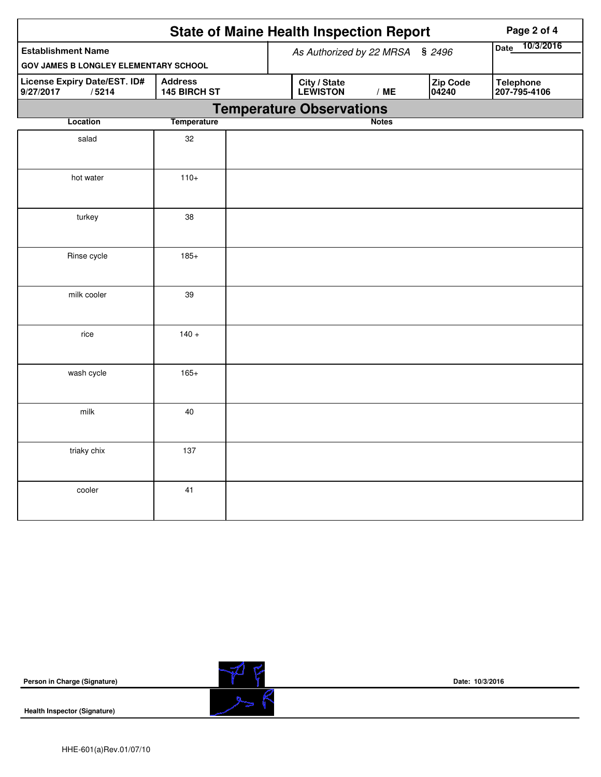|                                                    |                                | <b>State of Maine Health Inspection Report</b> | Page 2 of 4       |                   |                                  |
|----------------------------------------------------|--------------------------------|------------------------------------------------|-------------------|-------------------|----------------------------------|
| <b>Establishment Name</b>                          |                                | As Authorized by 22 MRSA § 2496                | 10/3/2016<br>Date |                   |                                  |
| <b>GOV JAMES B LONGLEY ELEMENTARY SCHOOL</b>       |                                |                                                |                   |                   |                                  |
| License Expiry Date/EST. ID#<br>9/27/2017<br>/5214 | <b>Address</b><br>145 BIRCH ST | City / State<br>LEWISTON                       | /ME               | Zip Code<br>04240 | <b>Telephone</b><br>207-795-4106 |
|                                                    |                                | <b>Temperature Observations</b>                |                   |                   |                                  |
| Location                                           | <b>Temperature</b>             |                                                | <b>Notes</b>      |                   |                                  |
| salad                                              | 32                             |                                                |                   |                   |                                  |
| hot water                                          | $110+$                         |                                                |                   |                   |                                  |
| turkey                                             | 38                             |                                                |                   |                   |                                  |
| Rinse cycle                                        | $185+$                         |                                                |                   |                   |                                  |
| milk cooler                                        | 39                             |                                                |                   |                   |                                  |
| rice                                               | $140 +$                        |                                                |                   |                   |                                  |
| wash cycle                                         | $165+$                         |                                                |                   |                   |                                  |
| milk                                               | 40                             |                                                |                   |                   |                                  |
| triaky chix                                        | 137                            |                                                |                   |                   |                                  |
| cooler                                             | 41                             |                                                |                   |                   |                                  |

**Health Inspector (Signature)** 

**Date: 10/3/2016**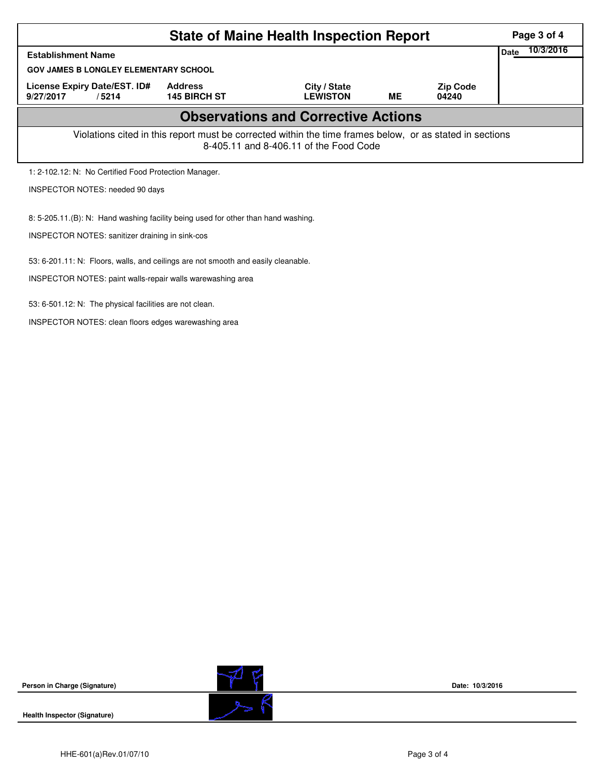| <b>State of Maine Health Inspection Report</b>                                    |                                                                                                          |                                            |    |                          |  |  |  |  |  |
|-----------------------------------------------------------------------------------|----------------------------------------------------------------------------------------------------------|--------------------------------------------|----|--------------------------|--|--|--|--|--|
| <b>Establishment Name</b>                                                         | <b>Date</b>                                                                                              | 10/3/2016                                  |    |                          |  |  |  |  |  |
|                                                                                   | <b>GOV JAMES B LONGLEY ELEMENTARY SCHOOL</b>                                                             |                                            |    |                          |  |  |  |  |  |
| License Expiry Date/EST. ID#<br>9/27/2017<br>/5214                                | <b>Address</b><br><b>145 BIRCH ST</b>                                                                    | City / State<br><b>LEWISTON</b>            | ME | <b>Zip Code</b><br>04240 |  |  |  |  |  |
|                                                                                   |                                                                                                          | <b>Observations and Corrective Actions</b> |    |                          |  |  |  |  |  |
|                                                                                   | Violations cited in this report must be corrected within the time frames below, or as stated in sections | 8-405.11 and 8-406.11 of the Food Code     |    |                          |  |  |  |  |  |
| 1: 2-102.12: N: No Certified Food Protection Manager.                             |                                                                                                          |                                            |    |                          |  |  |  |  |  |
| INSPECTOR NOTES: needed 90 days                                                   |                                                                                                          |                                            |    |                          |  |  |  |  |  |
| 8: 5-205.11.(B): N: Hand washing facility being used for other than hand washing. |                                                                                                          |                                            |    |                          |  |  |  |  |  |
| <b>INSPECTOR NOTES: sanitizer draining in sink-cos</b>                            |                                                                                                          |                                            |    |                          |  |  |  |  |  |
| 53: 6-201.11: N: Floors, walls, and ceilings are not smooth and easily cleanable. |                                                                                                          |                                            |    |                          |  |  |  |  |  |
| INSPECTOR NOTES: paint walls-repair walls warewashing area                        |                                                                                                          |                                            |    |                          |  |  |  |  |  |
| 53: 6-501.12: N: The physical facilities are not clean.                           |                                                                                                          |                                            |    |                          |  |  |  |  |  |

INSPECTOR NOTES: clean floors edges warewashing area

**Person in Charge (Signature)**



**Date: 10/3/2016**